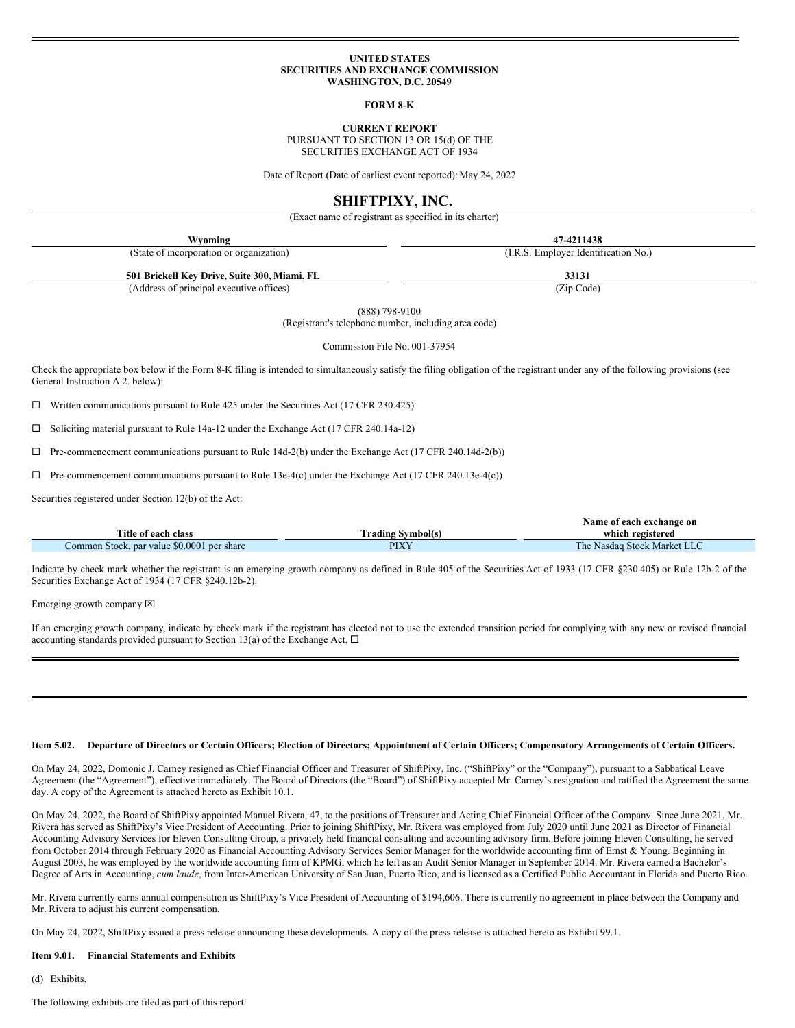#### **UNITED STATES SECURITIES AND EXCHANGE COMMISSION WASHINGTON, D.C. 20549**

**FORM 8-K**

**CURRENT REPORT**

PURSUANT TO SECTION 13 OR 15(d) OF THE SECURITIES EXCHANGE ACT OF 1934

Date of Report (Date of earliest event reported): May 24, 2022

# **SHIFTPIXY, INC.**

(Exact name of registrant as specified in its charter)

| Wyoming                                      | 47-4211438                           |  |  |
|----------------------------------------------|--------------------------------------|--|--|
| (State of incorporation or organization)     | (I.R.S. Employer Identification No.) |  |  |
| 501 Brickell Key Drive, Suite 300, Miami, FL | 33131                                |  |  |
| (Address of principal executive offices)     | (Zip Code)                           |  |  |

(888) 798-9100

(Registrant's telephone number, including area code)

Commission File No. 001-37954

Check the appropriate box below if the Form 8-K filing is intended to simultaneously satisfy the filing obligation of the registrant under any of the following provisions (see General Instruction A.2. below):

 $\Box$  Written communications pursuant to Rule 425 under the Securities Act (17 CFR 230.425)

¨ Soliciting material pursuant to Rule 14a-12 under the Exchange Act (17 CFR 240.14a-12)

 $\Box$  Pre-commencement communications pursuant to Rule 14d-2(b) under the Exchange Act (17 CFR 240.14d-2(b))

 $\Box$  Pre-commencement communications pursuant to Rule 13e-4(c) under the Exchange Act (17 CFR 240.13e-4(c))

Securities registered under Section 12(b) of the Act:

|                                            | Name of each exchange on |                             |  |
|--------------------------------------------|--------------------------|-----------------------------|--|
| Title of each class                        | <b>Trading Symbol(s)</b> | which registered            |  |
| Common Stock, par value \$0.0001 per share | PIXY                     | The Nasdag Stock Market LLC |  |

Indicate by check mark whether the registrant is an emerging growth company as defined in Rule 405 of the Securities Act of 1933 (17 CFR §230.405) or Rule 12b-2 of the Securities Exchange Act of 1934 (17 CFR §240.12b-2).

Emerging growth company  $[**X**]$ 

If an emerging growth company, indicate by check mark if the registrant has elected not to use the extended transition period for complying with any new or revised financial accounting standards provided pursuant to Section 13(a) of the Exchange Act.  $\Box$ 

#### Item 5.02. Departure of Directors or Certain Officers; Election of Directors; Appointment of Certain Officers; Compensatory Arrangements of Certain Officers.

On May 24, 2022, Domonic J. Carney resigned as Chief Financial Officer and Treasurer of ShiftPixy, Inc. ("ShiftPixy" or the "Company"), pursuant to a Sabbatical Leave Agreement (the "Agreement"), effective immediately. The Board of Directors (the "Board") of ShiftPixy accepted Mr. Carney's resignation and ratified the Agreement the same day. A copy of the Agreement is attached hereto as Exhibit 10.1.

On May 24, 2022, the Board of ShiftPixy appointed Manuel Rivera, 47, to the positions of Treasurer and Acting Chief Financial Officer of the Company. Since June 2021, Mr. Rivera has served as ShiftPixy's Vice President of Accounting. Prior to joining ShiftPixy, Mr. Rivera was employed from July 2020 until June 2021 as Director of Financial Accounting Advisory Services for Eleven Consulting Group, a privately held financial consulting and accounting advisory firm. Before joining Eleven Consulting, he served from October 2014 through February 2020 as Financial Accounting Advisory Services Senior Manager for the worldwide accounting firm of Ernst & Young. Beginning in August 2003, he was employed by the worldwide accounting firm of KPMG, which he left as an Audit Senior Manager in September 2014. Mr. Rivera earned a Bachelor's Degree of Arts in Accounting, *cum laude*, from Inter-American University of San Juan, Puerto Rico, and is licensed as a Certified Public Accountant in Florida and Puerto Rico.

Mr. Rivera currently earns annual compensation as ShiftPixy's Vice President of Accounting of \$194,606. There is currently no agreement in place between the Company and Mr. Rivera to adjust his current compensation.

On May 24, 2022, ShiftPixy issued a press release announcing these developments. A copy of the press release is attached hereto as Exhibit 99.1.

#### **Item 9.01. Financial Statements and Exhibits**

(d) Exhibits.

The following exhibits are filed as part of this report: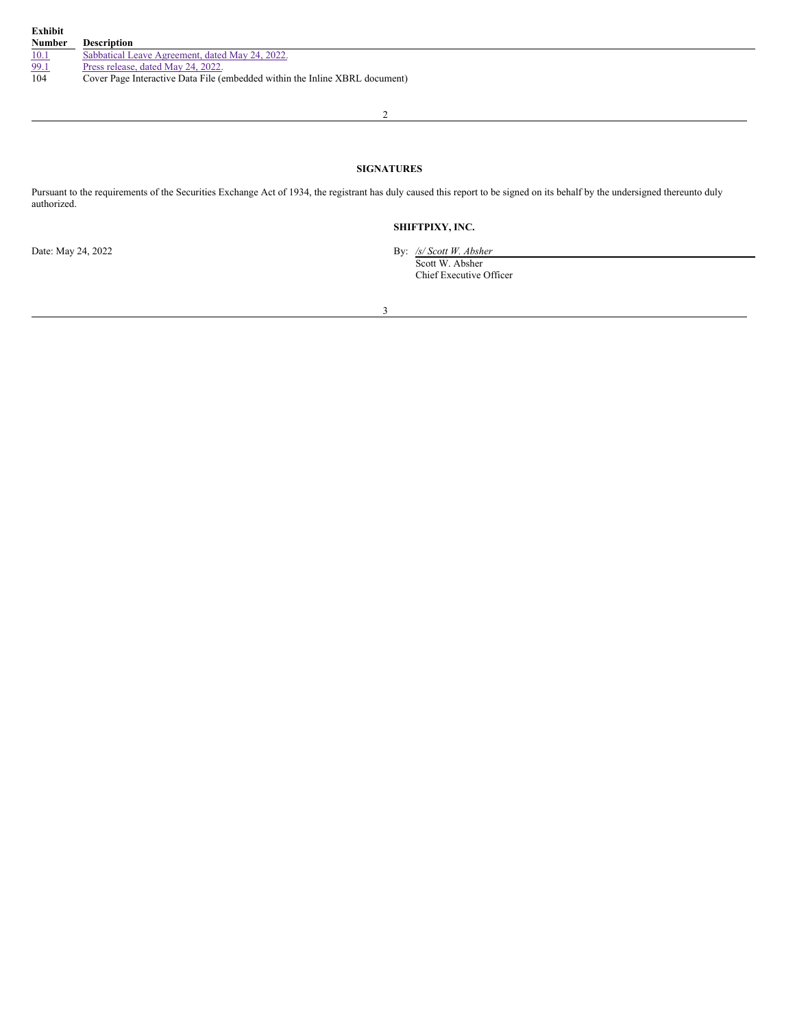| Exhibit<br><b>Number</b> | <b>Description</b>                                                          |
|--------------------------|-----------------------------------------------------------------------------|
| 10.1                     | Sabbatical Leave Agreement, dated May 24, 2022.                             |
| 99.1                     | Press release, dated May 24, 2022.                                          |
| 104                      | Cover Page Interactive Data File (embedded within the Inline XBRL document) |

2

## **SIGNATURES**

Pursuant to the requirements of the Securities Exchange Act of 1934, the registrant has duly caused this report to be signed on its behalf by the undersigned thereunto duly authorized.

# **SHIFTPIXY, INC.**

Date: May 24, 2022 By: */s/ Scott W. Absher* Scott W. Absher Chief Executive Officer

3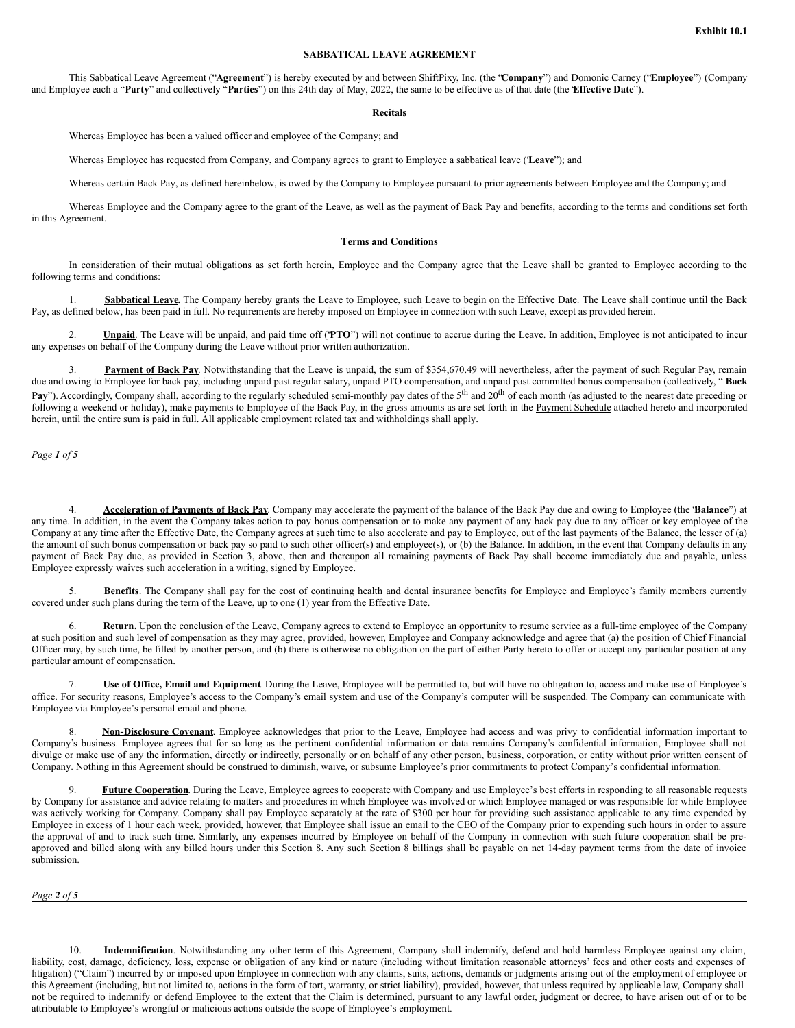## **SABBATICAL LEAVE AGREEMENT**

This Sabbatical Leave Agreement ("**Agreement**") is hereby executed by and between ShiftPixy, Inc. (the "**Company**") and Domonic Carney ("**Employee**") (Company and Employee each a "**Party**" and collectively "**Parties**") on this 24th day of May, 2022, the same to be effective as of that date (the "**Effective Date**").

#### **Recitals**

Whereas Employee has been a valued officer and employee of the Company; and

Whereas Employee has requested from Company, and Company agrees to grant to Employee a sabbatical leave ("**Leave**"); and

Whereas certain Back Pay, as defined hereinbelow, is owed by the Company to Employee pursuant to prior agreements between Employee and the Company; and

Whereas Employee and the Company agree to the grant of the Leave, as well as the payment of Back Pay and benefits, according to the terms and conditions set forth in this Agreement.

#### **Terms and Conditions**

In consideration of their mutual obligations as set forth herein, Employee and the Company agree that the Leave shall be granted to Employee according to the following terms and conditions:

1. **Sabbatical Leave.** The Company hereby grants the Leave to Employee, such Leave to begin on the Effective Date. The Leave shall continue until the Back Pay, as defined below, has been paid in full. No requirements are hereby imposed on Employee in connection with such Leave, except as provided herein.

2. **Unpaid**. The Leave will be unpaid, and paid time off ("**PTO**") will not continue to accrue during the Leave. In addition, Employee is not anticipated to incur any expenses on behalf of the Company during the Leave without prior written authorization.

3. **Payment of Back Pay**. Notwithstanding that the Leave is unpaid, the sum of \$354,670.49 will nevertheless, after the payment of such Regular Pay, remain due and owing to Employee for back pay, including unpaid past regular salary, unpaid PTO compensation, and unpaid past committed bonus compensation (collectively, " **Back** Pay"). Accordingly, Company shall, according to the regularly scheduled semi-monthly pay dates of the 5<sup>th</sup> and 20<sup>th</sup> of each month (as adjusted to the nearest date preceding or following a weekend or holiday), make payments to Employee of the Back Pay, in the gross amounts as are set forth in the Payment Schedule attached hereto and incorporated herein, until the entire sum is paid in full. All applicable employment related tax and withholdings shall apply.

*Page 1 of 5*

4. **Acceleration of Payments of Back Pay**. Company may accelerate the payment of the balance of the Back Pay due and owing to Employee (the "**Balance**") at any time. In addition, in the event the Company takes action to pay bonus compensation or to make any payment of any back pay due to any officer or key employee of the Company at any time after the Effective Date, the Company agrees at such time to also accelerate and pay to Employee, out of the last payments of the Balance, the lesser of (a) the amount of such bonus compensation or back pay so paid to such other officer(s) and employee(s), or (b) the Balance. In addition, in the event that Company defaults in any payment of Back Pay due, as provided in Section 3, above, then and thereupon all remaining payments of Back Pay shall become immediately due and payable, unless Employee expressly waives such acceleration in a writing, signed by Employee.

5. **Benefits**. The Company shall pay for the cost of continuing health and dental insurance benefits for Employee and Employee's family members currently covered under such plans during the term of the Leave, up to one (1) year from the Effective Date.

Return. Upon the conclusion of the Leave, Company agrees to extend to Employee an opportunity to resume service as a full-time employee of the Company at such position and such level of compensation as they may agree, provided, however, Employee and Company acknowledge and agree that (a) the position of Chief Financial Officer may, by such time, be filled by another person, and (b) there is otherwise no obligation on the part of either Party hereto to offer or accept any particular position at any particular amount of compensation.

7. **Use of Office, Email and Equipment**. During the Leave, Employee will be permitted to, but will have no obligation to, access and make use of Employee's office. For security reasons, Employee's access to the Company's email system and use of the Company's computer will be suspended. The Company can communicate with Employee via Employee's personal email and phone.

8. **Non-Disclosure Covenant**. Employee acknowledges that prior to the Leave, Employee had access and was privy to confidential information important to Company's business. Employee agrees that for so long as the pertinent confidential information or data remains Company's confidential information, Employee shall not divulge or make use of any the information, directly or indirectly, personally or on behalf of any other person, business, corporation, or entity without prior written consent of Company. Nothing in this Agreement should be construed to diminish, waive, or subsume Employee's prior commitments to protect Company's confidential information.

Future Cooperation. During the Leave, Employee agrees to cooperate with Company and use Employee's best efforts in responding to all reasonable requests by Company for assistance and advice relating to matters and procedures in which Employee was involved or which Employee managed or was responsible for while Employee was actively working for Company. Company shall pay Employee separately at the rate of \$300 per hour for providing such assistance applicable to any time expended by Employee in excess of 1 hour each week, provided, however, that Employee shall issue an email to the CEO of the Company prior to expending such hours in order to assure the approval of and to track such time. Similarly, any expenses incurred by Employee on behalf of the Company in connection with such future cooperation shall be preapproved and billed along with any billed hours under this Section 8. Any such Section 8 billings shall be payable on net 14-day payment terms from the date of invoice submission.

*Page 2 of 5*

10. **Indemnification**. Notwithstanding any other term of this Agreement, Company shall indemnify, defend and hold harmless Employee against any claim, liability, cost, damage, deficiency, loss, expense or obligation of any kind or nature (including without limitation reasonable attorneys' fees and other costs and expenses of litigation) ("Claim") incurred by or imposed upon Employee in connection with any claims, suits, actions, demands or judgments arising out of the employment of employee or this Agreement (including, but not limited to, actions in the form of tort, warranty, or strict liability), provided, however, that unless required by applicable law, Company shall not be required to indemnify or defend Employee to the extent that the Claim is determined, pursuant to any lawful order, judgment or decree, to have arisen out of or to be attributable to Employee's wrongful or malicious actions outside the scope of Employee's employment.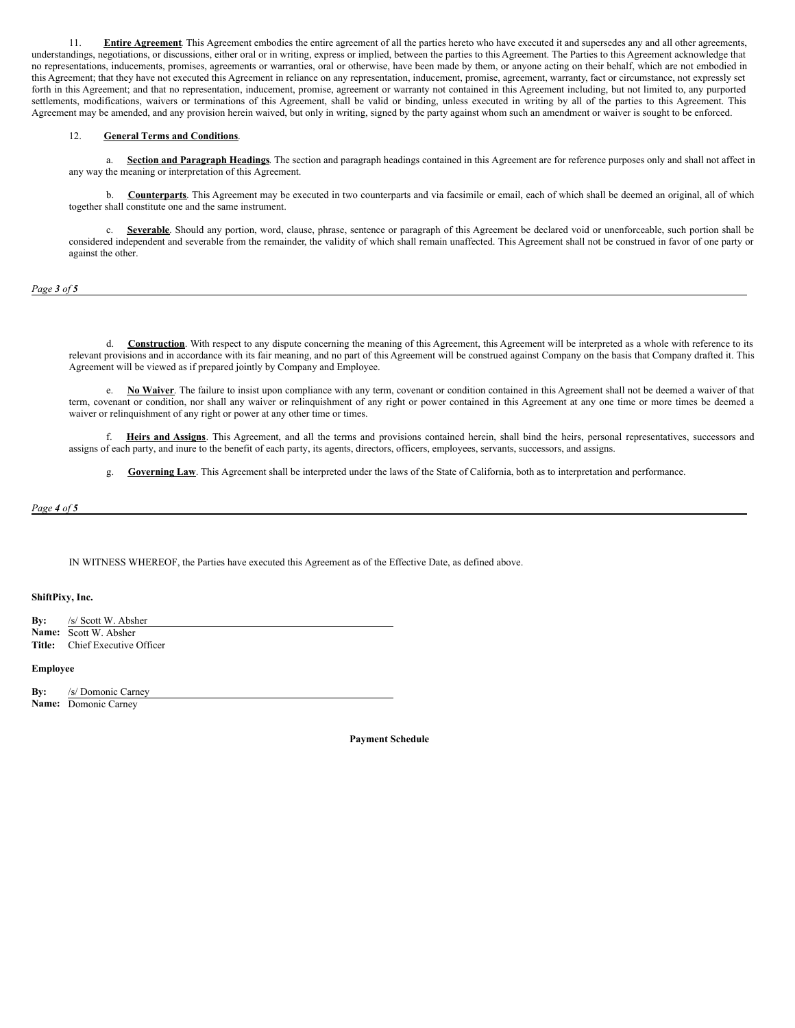<span id="page-3-0"></span>11. **Entire Agreement**. This Agreement embodies the entire agreement of all the parties hereto who have executed it and supersedes any and all other agreements, understandings, negotiations, or discussions, either oral or in writing, express or implied, between the parties to this Agreement. The Parties to this Agreement acknowledge that no representations, inducements, promises, agreements or warranties, oral or otherwise, have been made by them, or anyone acting on their behalf, which are not embodied in this Agreement; that they have not executed this Agreement in reliance on any representation, inducement, promise, agreement, warranty, fact or circumstance, not expressly set forth in this Agreement; and that no representation, inducement, promise, agreement or warranty not contained in this Agreement including, but not limited to, any purported settlements, modifications, waivers or terminations of this Agreement, shall be valid or binding, unless executed in writing by all of the parties to this Agreement. This Agreement may be amended, and any provision herein waived, but only in writing, signed by the party against whom such an amendment or waiver is sought to be enforced.

#### 12. **General Terms and Conditions**.

a. **Section and Paragraph Headings**. The section and paragraph headings contained in this Agreement are for reference purposes only and shall not affect in any way the meaning or interpretation of this Agreement.

b. **Counterparts**. This Agreement may be executed in two counterparts and via facsimile or email, each of which shall be deemed an original, all of which together shall constitute one and the same instrument.

c. **Severable**. Should any portion, word, clause, phrase, sentence or paragraph of this Agreement be declared void or unenforceable, such portion shall be considered independent and severable from the remainder, the validity of which shall remain unaffected. This Agreement shall not be construed in favor of one party or against the other.

*Page 3 of 5*

d. **Construction**. With respect to any dispute concerning the meaning of this Agreement, this Agreement will be interpreted as a whole with reference to its relevant provisions and in accordance with its fair meaning, and no part of this Agreement will be construed against Company on the basis that Company drafted it. This Agreement will be viewed as if prepared jointly by Company and Employee.

e. **No Waiver**. The failure to insist upon compliance with any term, covenant or condition contained in this Agreement shall not be deemed a waiver of that term, covenant or condition, nor shall any waiver or relinquishment of any right or power contained in this Agreement at any one time or more times be deemed a waiver or relinquishment of any right or power at any other time or times.

f. **Heirs and Assigns**. This Agreement, and all the terms and provisions contained herein, shall bind the heirs, personal representatives, successors and assigns of each party, and inure to the benefit of each party, its agents, directors, officers, employees, servants, successors, and assigns.

g. **Governing Law**. This Agreement shall be interpreted under the laws of the State of California, both as to interpretation and performance.

*Page 4 of 5*

IN WITNESS WHEREOF, the Parties have executed this Agreement as of the Effective Date, as defined above.

## **ShiftPixy, Inc.**

| By: | /s/ Scott W. Absher                   |
|-----|---------------------------------------|
|     | <b>Name:</b> Scott W. Absher          |
|     | <b>Title:</b> Chief Executive Officer |

### **Employee**

**By:** /s/ Domonic Carney **Name:** Domonic Carney

**Payment Schedule**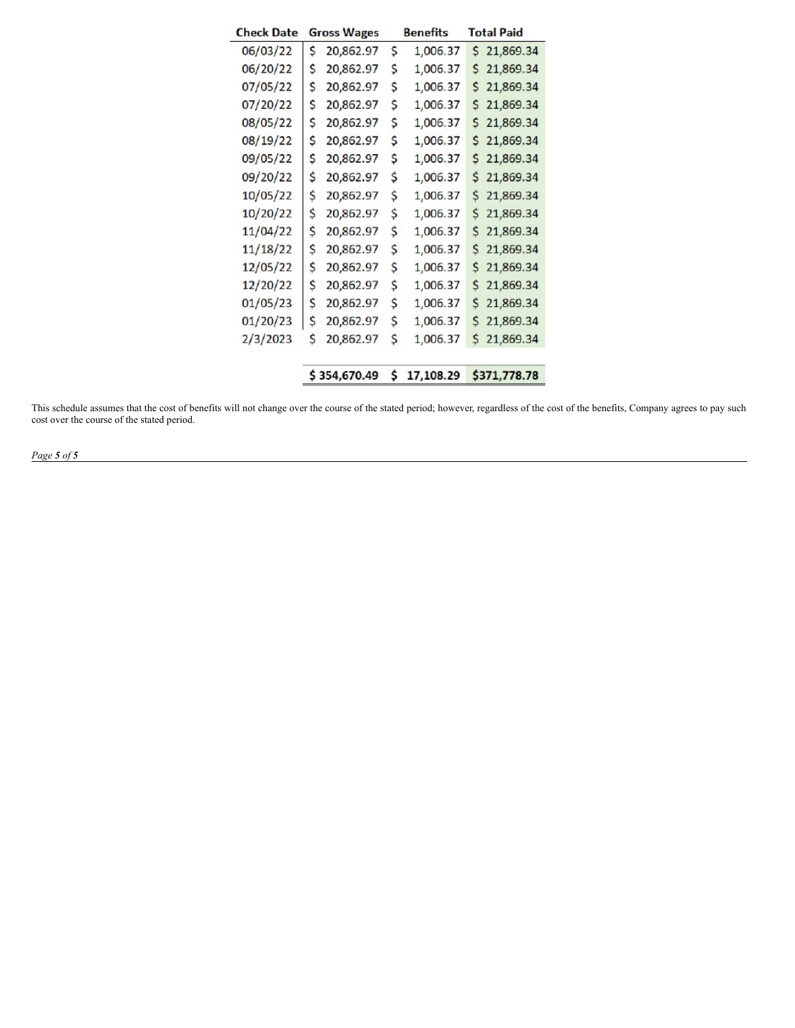| <b>Check Date</b> | <b>Gross Wages</b> |           | <b>Benefits</b> | <b>Total Paid</b> |
|-------------------|--------------------|-----------|-----------------|-------------------|
| 06/03/22          | \$                 | 20,862.97 | \$<br>1,006.37  | S.<br>21,869.34   |
| 06/20/22          | \$                 | 20,862.97 | \$<br>1,006.37  | 21,869.34<br>S    |
| 07/05/22          | \$                 | 20,862.97 | \$<br>1,006.37  | 21,869.34<br>\$   |
| 07/20/22          | \$                 | 20,862.97 | \$<br>1,006.37  | 21,869.34<br>S    |
| 08/05/22          | \$                 | 20,862.97 | \$<br>1,006.37  | 21,869.34<br>\$   |
| 08/19/22          | \$                 | 20,862.97 | \$<br>1,006.37  | 21,869.34<br>\$   |
| 09/05/22          | \$                 | 20,862.97 | \$<br>1,006.37  | \$<br>21,869.34   |
| 09/20/22          | \$                 | 20,862.97 | \$<br>1,006.37  | \$<br>21,869.34   |
| 10/05/22          | \$                 | 20,862.97 | \$<br>1,006.37  | \$<br>21,869.34   |
| 10/20/22          | \$                 | 20,862.97 | \$<br>1,006.37  | \$<br>21,869.34   |
| 11/04/22          | \$                 | 20,862.97 | \$<br>1,006.37  | \$<br>21,869.34   |
| 11/18/22          | \$                 | 20,862.97 | \$<br>1,006.37  | \$<br>21,869.34   |
| 12/05/22          | \$                 | 20,862.97 | \$<br>1,006.37  | \$<br>21,869.34   |
| 12/20/22          | \$                 | 20,862.97 | \$<br>1,006.37  | 21,869.34<br>\$   |
| 01/05/23          | \$                 | 20,862.97 | \$<br>1,006.37  | 21,869.34<br>S    |
| 01/20/23          | \$                 | 20,862.97 | \$<br>1,006.37  | 21,869.34<br>\$   |
| 2/3/2023          | \$                 | 20,862.97 | \$<br>1,006.37  | 21,869.34<br>\$   |
|                   |                    |           |                 |                   |
|                   | \$354,670.49       |           | \$<br>17,108.29 | \$371,778.78      |

This schedule assumes that the cost of benefits will not change over the course of the stated period; however, regardless of the cost of the benefits, Company agrees to pay such cost over the course of the stated period.